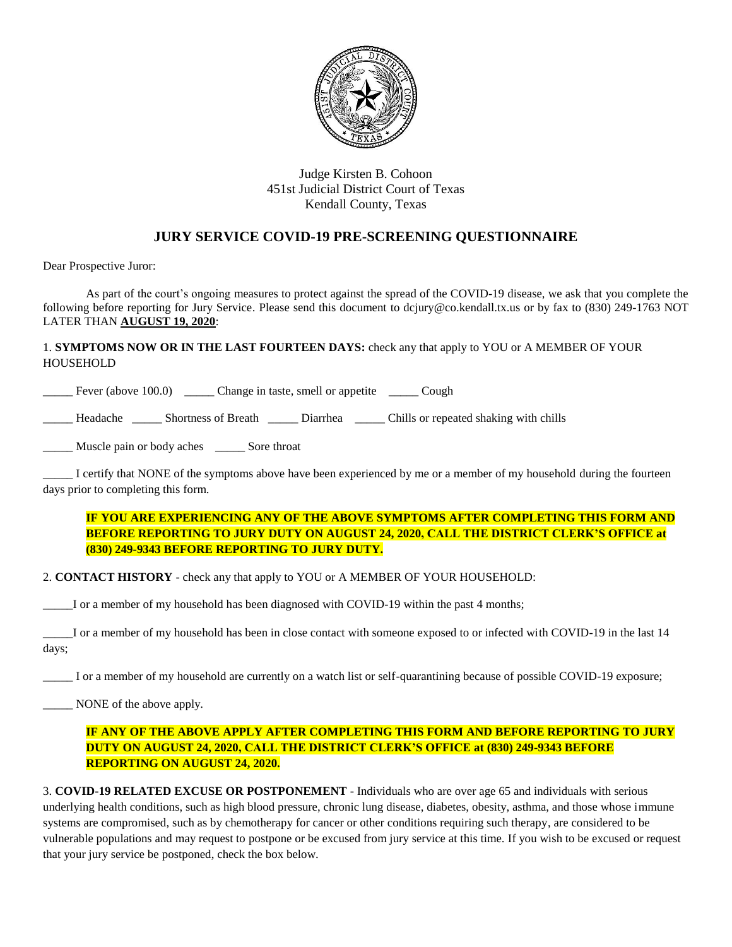

## Judge Kirsten B. Cohoon 451st Judicial District Court of Texas Kendall County, Texas

## **JURY SERVICE COVID-19 PRE-SCREENING QUESTIONNAIRE**

Dear Prospective Juror:

As part of the court's ongoing measures to protect against the spread of the COVID-19 disease, we ask that you complete the following before reporting for Jury Service. Please send this document to dcjury@co.kendall.tx.us or by fax to (830) 249-1763 NOT LATER THAN **AUGUST 19, 2020**:

1. **SYMPTOMS NOW OR IN THE LAST FOURTEEN DAYS:** check any that apply to YOU or A MEMBER OF YOUR HOUSEHOLD

Fever (above 100.0) Change in taste, smell or appetite Cough

\_\_\_\_\_ Headache \_\_\_\_\_ Shortness of Breath \_\_\_\_\_ Diarrhea \_\_\_\_\_ Chills or repeated shaking with chills

\_\_\_\_\_ Muscle pain or body aches \_\_\_\_\_ Sore throat

\_\_\_\_\_ I certify that NONE of the symptoms above have been experienced by me or a member of my household during the fourteen days prior to completing this form.

**IF YOU ARE EXPERIENCING ANY OF THE ABOVE SYMPTOMS AFTER COMPLETING THIS FORM AND BEFORE REPORTING TO JURY DUTY ON AUGUST 24, 2020, CALL THE DISTRICT CLERK'S OFFICE at (830) 249-9343 BEFORE REPORTING TO JURY DUTY.**

2. **CONTACT HISTORY** - check any that apply to YOU or A MEMBER OF YOUR HOUSEHOLD:

\_\_\_\_\_I or a member of my household has been diagnosed with COVID-19 within the past 4 months;

\_\_\_\_\_I or a member of my household has been in close contact with someone exposed to or infected with COVID-19 in the last 14 days;

\_\_\_\_\_ I or a member of my household are currently on a watch list or self-quarantining because of possible COVID-19 exposure;

\_\_\_\_\_ NONE of the above apply.

## **IF ANY OF THE ABOVE APPLY AFTER COMPLETING THIS FORM AND BEFORE REPORTING TO JURY DUTY ON AUGUST 24, 2020, CALL THE DISTRICT CLERK'S OFFICE at (830) 249-9343 BEFORE REPORTING ON AUGUST 24, 2020.**

3. **COVID-19 RELATED EXCUSE OR POSTPONEMENT** - Individuals who are over age 65 and individuals with serious underlying health conditions, such as high blood pressure, chronic lung disease, diabetes, obesity, asthma, and those whose immune systems are compromised, such as by chemotherapy for cancer or other conditions requiring such therapy, are considered to be vulnerable populations and may request to postpone or be excused from jury service at this time. If you wish to be excused or request that your jury service be postponed, check the box below.